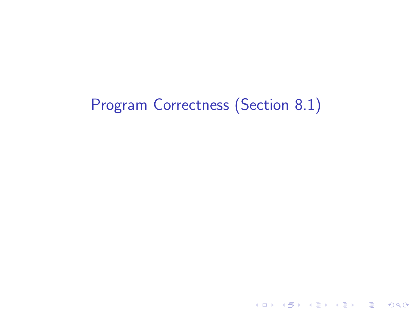# Program Correctness (Section 8.1)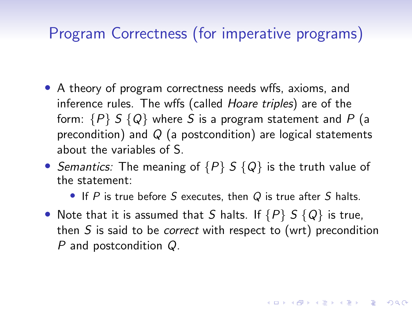# Program Correctness (for imperative programs)

- A theory of program correctness needs wffs, axioms, and inference rules. The wffs (called Hoare triples) are of the form:  $\{P\} S \{Q\}$  where S is a program statement and P (a precondition) and  $Q$  (a postcondition) are logical statements about the variables of S.
- Semantics: The meaning of  $\{P\} S \{Q\}$  is the truth value of the statement:
	- If  $P$  is true before  $S$  executes, then  $Q$  is true after  $S$  halts.
- Note that it is assumed that S halts. If  $\{P\}$  S  $\{Q\}$  is true, then  $S$  is said to be *correct* with respect to (wrt) precondition P and postcondition Q.

KID KA KERKER E VOLO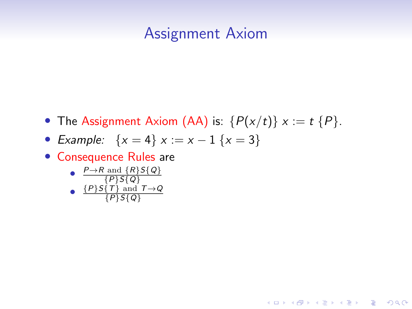#### Assignment Axiom

• The Assignment Axiom (AA) is:  $\{P(x/t)\}\ x := t \{P\}.$ 

**KORK ERKER ADAM ADA** 

- Example:  $\{x = 4\} \times \{x = 1\} \{x = 3\}$
- Consequence Rules are

\n- $$
\frac{P \rightarrow R \text{ and } \{R\}S\{Q\}}{\{P\}S\{T\}
$$
\n- $\frac{\{P\}S\{T\} \text{ and } T \rightarrow Q}{\{P\}S\{Q\}}$
\n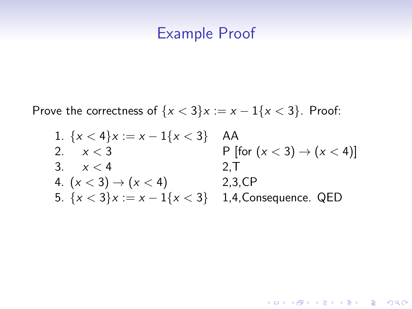#### Example Proof

Prove the correctness of  $\{x < 3\}x := x - 1\{x < 3\}$ . Proof:

| 1. $\{x < 4\}x := x - 1\{x < 3\}$ | AA                                     |
|-----------------------------------|----------------------------------------|
| 2. $x < 3$                        | P [for $(x < 3) \rightarrow (x < 4)$ ] |
| 3. $x < 4$                        | 2, T                                   |
| 4. $(x < 3) \rightarrow (x < 4)$  | 2, 3, CP                               |
| 5. $\{x < 3\}x := x - 1\{x < 3\}$ | 1, 4, Consequence. QED                 |

K ロ ▶ K @ ▶ K 할 ▶ K 할 ▶ 이 할 → 9 Q Q →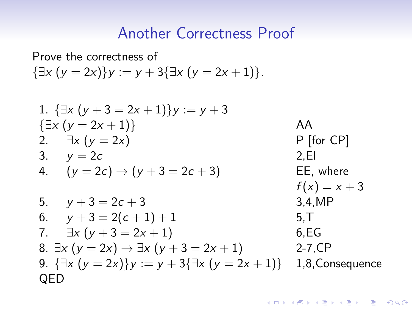#### Another Correctness Proof

Prove the correctness of  ${\exists x (y = 2x)}y := y + 3{\exists x (y = 2x + 1)}.$ 

1. {
$$
\exists x (y + 3 = 2x + 1)
$$
} $y := y + 3$   
\n{ $\exists x (y = 2x + 1)}$   
\n2.  $\exists x (y = 2x)$   
\n3.  $y = 2c$   
\n4.  $(y = 2c) \rightarrow (y + 3 = 2c + 3)$   
\n5.  $y + 3 = 2c + 3$   
\n6.  $y + 3 = 2(c + 1) + 1$   
\n7.  $\exists x (y + 3 = 2x + 1)$   
\n8.  $\exists x (y = 2x) \rightarrow \exists x (y + 3 = 2x + 1)$   
\n9. { $\exists x (y = 2x)}$ } $y := y + 3{\exists x (y = 2x + 1)}$   
\n1,8, Consequence  
\nQED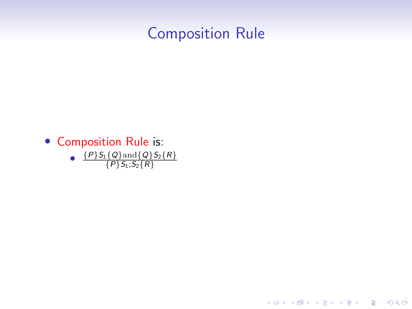## Composition Rule

K ロ ▶ K @ ▶ K 할 ▶ K 할 ▶ | 할 | © 9 Q @

• Composition Rule is: •  $\{P\}S_1\{Q\}$  and  $\{Q\}S_2\{R\}$  $\{P\}S_1; S_2\{R\}$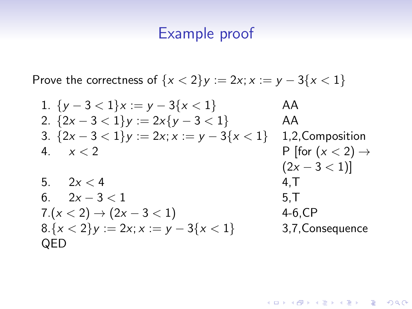### Example proof

Prove the correctness of  $\{x < 2\}y := 2x; x := y - 3\{x < 1\}$ 

| 1. $\{y-3 < 1\}x := y - 3\{x < 1\}$             | AA                                         |
|-------------------------------------------------|--------------------------------------------|
| 2. $\{2x - 3 < 1\}y := 2x\{y - 3 < 1\}$         | AA                                         |
| 3. $\{2x - 3 < 1\}y := 2x; x := y - 3\{x < 1\}$ | 1, 2, Composition                          |
| 4. $x < 2$                                      | P [for $(x < 2) \rightarrow (2x - 3 < 1)]$ |
| 5. $2x < 4$                                     | 4, T                                       |
| 6. $2x - 3 < 1$                                 | 5, T                                       |
| 7. $(x < 2) \rightarrow (2x - 3 < 1)$           | 4-6, CP                                    |
| 8. $\{x < 2\}y := 2x; x := y - 3\{x < 1\}$      | 3, 7, Consequence                          |
| QED                                             |                                            |

K ロ ▶ K @ ▶ K 할 ▶ K 할 ▶ | 할 | © 9 Q @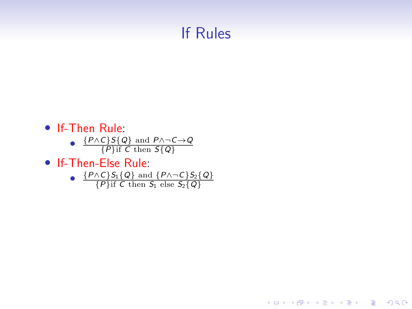# If Rules

K ロ ▶ K @ ▶ K 할 ▶ K 할 ▶ | 할 | © 9 Q @

- If-Then Rule:
	- $\frac{\{P \wedge C\}S\{Q\} \text{ and } P \wedge \neg C \rightarrow Q}{\{P\} \text{ if } C \text{ then } S\{Q\}}$  ${P}$ if C then  $S{Q}$
- If-Then-Else Rule:

• 
$$
\frac{\{P \wedge C\}S_1\{Q\} \text{ and } \{P \wedge \neg C\}S_2\{Q\}}{\{P\} \text{ if } C \text{ then } S_1 \text{ else } S_2\{Q\}}
$$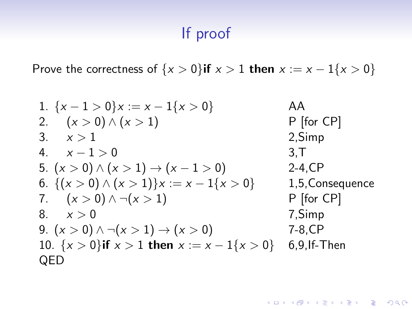# If proof

Prove the correctness of  $\{x > 0\}$ if  $x > 1$  then  $x := x - 1\{x > 0\}$ 

| 1. $\{x-1 > 0\}x := x - 1\{x > 0\}$                   | AA               |
|-------------------------------------------------------|------------------|
| 2. $(x > 0) \land (x > 1)$                            | P [for CP]       |
| 3. $x > 1$                                            | 2, Simp          |
| 4. $x - 1 > 0$                                        | 3, T             |
| 5. $(x > 0) \land (x > 1) \rightarrow (x - 1 > 0)$    | 2-4, CP          |
| 6. $\{(x > 0) \land (x > 1)\}x := x - 1\{x > 0\}$     | 1,5, Consequence |
| 7. $(x > 0) \land \neg(x > 1)$                        | P [for CP]       |
| 8. $x > 0$                                            | 7, Simp          |
| 9. $(x > 0) \land \neg(x > 1) \rightarrow (x > 0)$    | 7-8, CP          |
| 10. $\{x > 0\}$ if $x > 1$ then $x := x - 1\{x > 0\}$ | 6,9, IF-Then     |
| QED                                                   |                  |

K ロ ▶ K @ ▶ K 할 ▶ K 할 ▶ | 할 | © 9 Q @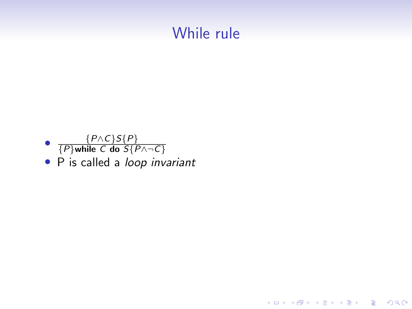#### While rule



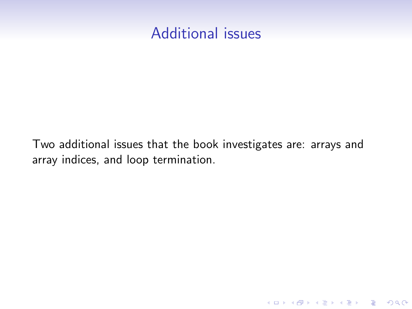#### Additional issues

Two additional issues that the book investigates are: arrays and array indices, and loop termination.

K ロ ▶ K 個 ▶ K 할 ▶ K 할 ▶ 이 할 → 9 Q Q →